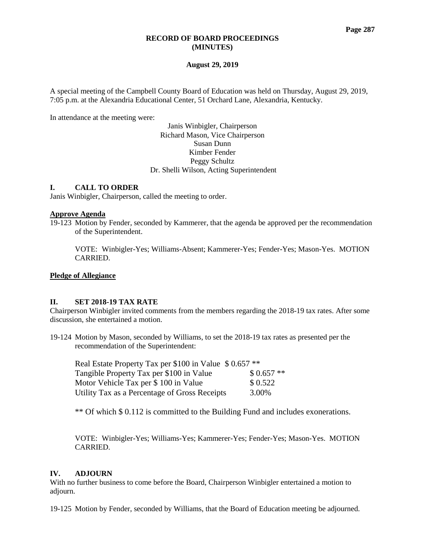### **RECORD OF BOARD PROCEEDINGS (MINUTES)**

## **August 29, 2019**

A special meeting of the Campbell County Board of Education was held on Thursday, August 29, 2019, 7:05 p.m. at the Alexandria Educational Center, 51 Orchard Lane, Alexandria, Kentucky.

In attendance at the meeting were:

Janis Winbigler, Chairperson Richard Mason, Vice Chairperson Susan Dunn Kimber Fender Peggy Schultz Dr. Shelli Wilson, Acting Superintendent

# **I. CALL TO ORDER**

Janis Winbigler, Chairperson, called the meeting to order.

## **Approve Agenda**

19-123 Motion by Fender, seconded by Kammerer, that the agenda be approved per the recommendation of the Superintendent.

VOTE: Winbigler-Yes; Williams-Absent; Kammerer-Yes; Fender-Yes; Mason-Yes. MOTION CARRIED.

# **Pledge of Allegiance**

#### **II. SET 2018-19 TAX RATE**

Chairperson Winbigler invited comments from the members regarding the 2018-19 tax rates. After some discussion, she entertained a motion.

19-124 Motion by Mason, seconded by Williams, to set the 2018-19 tax rates as presented per the recommendation of the Superintendent:

| Real Estate Property Tax per \$100 in Value \$ 0.657 ** |            |
|---------------------------------------------------------|------------|
| Tangible Property Tax per \$100 in Value                | $$0.657**$ |
| Motor Vehicle Tax per \$100 in Value                    | \$0.522    |
| Utility Tax as a Percentage of Gross Receipts           | 3.00%      |

\*\* Of which \$ 0.112 is committed to the Building Fund and includes exonerations.

VOTE: Winbigler-Yes; Williams-Yes; Kammerer-Yes; Fender-Yes; Mason-Yes. MOTION CARRIED.

#### **IV. ADJOURN**

With no further business to come before the Board, Chairperson Winbigler entertained a motion to adjourn.

19-125 Motion by Fender, seconded by Williams, that the Board of Education meeting be adjourned.